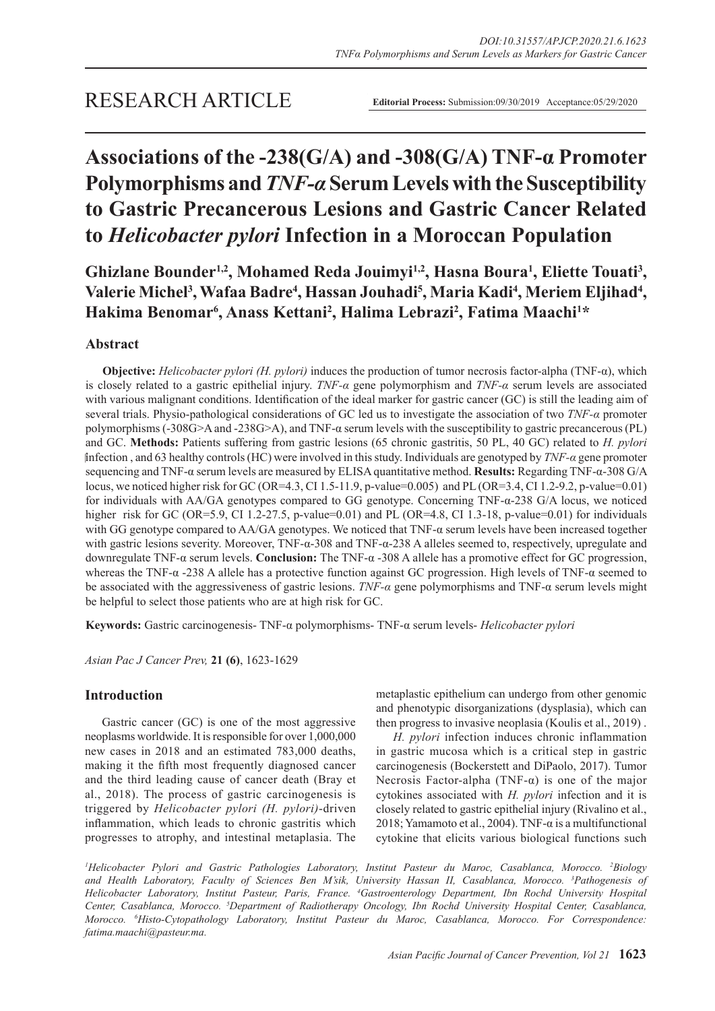# **Associations of the -238(G/A) and -308(G/A) TNF-α Promoter Polymorphisms and** *TNF-α* **Serum Levels with the Susceptibility to Gastric Precancerous Lesions and Gastric Cancer Related to** *Helicobacter pylori* **Infection in a Moroccan Population**

Ghizlane Bounder<sup>1,2</sup>, Mohamed Reda Jouimyi<sup>1,2</sup>, Hasna Boura<sup>1</sup>, Eliette Touati<sup>3</sup>, **Valerie Michel3 , Wafaa Badre4 , Hassan Jouhadi<sup>5</sup> , Maria Kadi4 , Meriem Eljihad<sup>4</sup> , Hakima Benomar<sup>6</sup> , Anass Kettani2 , Halima Lebrazi<sup>2</sup> , Fatima Maachi<sup>1</sup> \***

## **Abstract**

**Objective:** *Helicobacter pylori (H. pylori)* induces the production of tumor necrosis factor-alpha (TNF-α), which is closely related to a gastric epithelial injury. *TNF-α* gene polymorphism and *TNF-α* serum levels are associated with various malignant conditions. Identification of the ideal marker for gastric cancer (GC) is still the leading aim of several trials. Physio-pathological considerations of GC led us to investigate the association of two *TNF-α* promoter polymorphisms (-308G>A and -238G>A), and TNF-α serum levels with the susceptibility to gastric precancerous (PL) and GC. **Methods:** Patients suffering from gastric lesions (65 chronic gastritis, 50 PL, 40 GC) related to *H. pylori* infection , and 63 healthy controls (HC) were involved in this study. Individuals are genotyped by *TNF-α* gene promoter sequencing and TNF-α serum levels are measured by ELISA quantitative method. **Results:** Regarding TNF-α-308 G/A locus, we noticed higher risk for GC (OR=4.3, CI 1.5-11.9, p-value=0.005) and PL (OR=3.4, CI 1.2-9.2, p-value=0.01) for individuals with AA/GA genotypes compared to GG genotype. Concerning TNF-α-238 G/A locus, we noticed higher risk for GC (OR=5.9, CI 1.2-27.5, p-value=0.01) and PL (OR=4.8, CI 1.3-18, p-value=0.01) for individuals with GG genotype compared to AA/GA genotypes. We noticed that TNF-α serum levels have been increased together with gastric lesions severity. Moreover, TNF-α-308 and TNF-α-238 A alleles seemed to, respectively, upregulate and downregulate TNF-α serum levels. **Conclusion:** The TNF-α -308 A allele has a promotive effect for GC progression, whereas the TNF-α -238 A allele has a protective function against GC progression. High levels of TNF-α seemed to be associated with the aggressiveness of gastric lesions. *TNF-α* gene polymorphisms and TNF-α serum levels might be helpful to select those patients who are at high risk for GC.

**Keywords:** Gastric carcinogenesis- TNF-α polymorphisms- TNF-α serum levels- *Helicobacter pylori*

*Asian Pac J Cancer Prev,* **21 (6)**, 1623-1629

## **Introduction**

Gastric cancer (GC) is one of the most aggressive neoplasms worldwide. It is responsible for over 1,000,000 new cases in 2018 and an estimated 783,000 deaths, making it the fifth most frequently diagnosed cancer and the third leading cause of cancer death (Bray et al., 2018). The process of gastric carcinogenesis is triggered by *Helicobacter pylori (H. pylori)*-driven inflammation, which leads to chronic gastritis which progresses to atrophy, and intestinal metaplasia. The metaplastic epithelium can undergo from other genomic and phenotypic disorganizations (dysplasia), which can then progress to invasive neoplasia (Koulis et al., 2019) .

*H. pylori* infection induces chronic inflammation in gastric mucosa which is a critical step in gastric carcinogenesis (Bockerstett and DiPaolo, 2017). Tumor Necrosis Factor-alpha (TNF- $\alpha$ ) is one of the major cytokines associated with *H. pylori* infection and it is closely related to gastric epithelial injury (Rivalino et al., 2018; Yamamoto et al., 2004). TNF- $\alpha$  is a multifunctional cytokine that elicits various biological functions such

*1 Helicobacter Pylori and Gastric Pathologies Laboratory, Institut Pasteur du Maroc, Casablanca, Morocco. 2 Biology and Health Laboratory, Faculty of Sciences Ben M'sik, University Hassan II, Casablanca, Morocco. 3 Pathogenesis of Helicobacter Laboratory, Institut Pasteur, Paris, France. 4 Gastroenterology Department, Ibn Rochd University Hospital Center, Casablanca, Morocco. 5 Department of Radiotherapy Oncology, Ibn Rochd University Hospital Center, Casablanca, Morocco. 6 Histo-Cytopathology Laboratory, Institut Pasteur du Maroc, Casablanca, Morocco. For Correspondence: fatima.maachi@pasteur.ma.*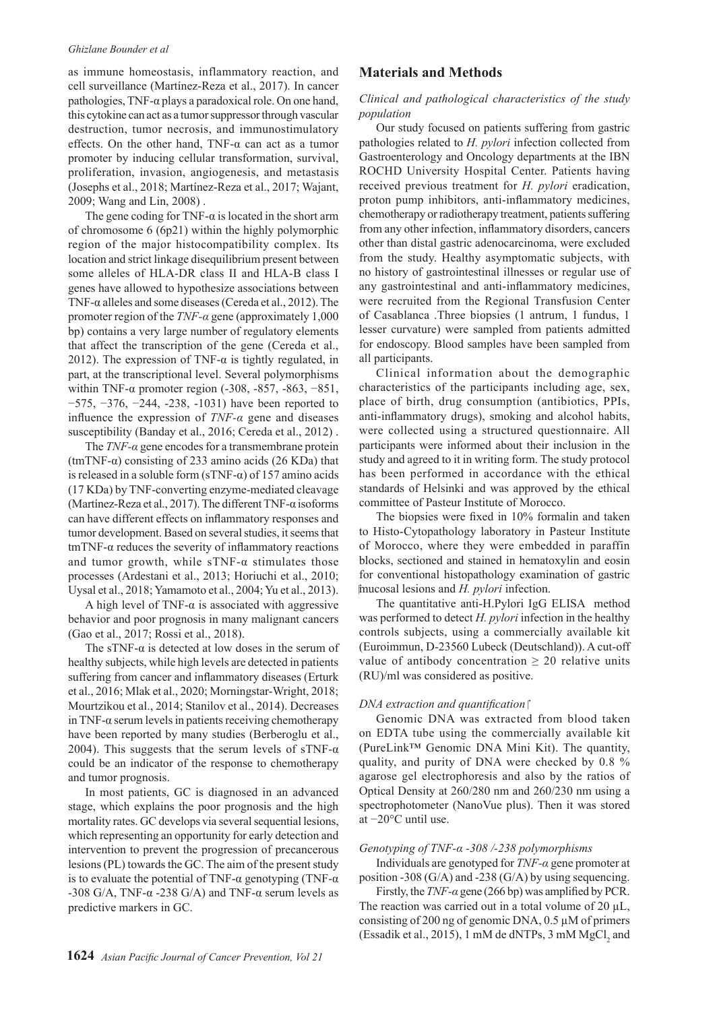#### *Ghizlane Bounder et al*

as immune homeostasis, inflammatory reaction, and cell surveillance (Martínez-Reza et al., 2017). In cancer pathologies, TNF-α plays a paradoxical role. On one hand, this cytokine can act as a tumor suppressor through vascular destruction, tumor necrosis, and immunostimulatory effects. On the other hand, TNF-α can act as a tumor promoter by inducing cellular transformation, survival, proliferation, invasion, angiogenesis, and metastasis (Josephs et al., 2018; Martínez-Reza et al., 2017; Wajant, 2009; Wang and Lin, 2008) .

The gene coding for TNF- $\alpha$  is located in the short arm of chromosome 6 (6p21) within the highly polymorphic region of the major histocompatibility complex. Its location and strict linkage disequilibrium present between some alleles of HLA-DR class II and HLA-B class I genes have allowed to hypothesize associations between TNF-α alleles and some diseases (Cereda et al., 2012). The promoter region of the *TNF-α* gene (approximately 1,000 bp) contains a very large number of regulatory elements that affect the transcription of the gene (Cereda et al., 2012). The expression of TNF- $\alpha$  is tightly regulated, in part, at the transcriptional level. Several polymorphisms within TNF- $\alpha$  promoter region (-308, -857, -863, -851, −575, −376, −244, -238, -1031) have been reported to influence the expression of *TNF-α* gene and diseases susceptibility (Banday et al., 2016; Cereda et al., 2012) .

The  $TNF-\alpha$  gene encodes for a transmembrane protein (tmTNF- $\alpha$ ) consisting of 233 amino acids (26 KDa) that is released in a soluble form  $(sTNF-\alpha)$  of 157 amino acids (17 KDa) by TNF-converting enzyme-mediated cleavage (Martínez-Reza et al., 2017). The different TNF-α isoforms can have different effects on inflammatory responses and tumor development. Based on several studies, it seems that tmTNF-α reduces the severity of inflammatory reactions and tumor growth, while  $sTNF-\alpha$  stimulates those processes (Ardestani et al., 2013; Horiuchi et al., 2010; Uysal et al., 2018; Yamamoto et al., 2004; Yu et al., 2013).

A high level of TNF- $\alpha$  is associated with aggressive behavior and poor prognosis in many malignant cancers (Gao et al., 2017; Rossi et al., 2018).

The sTNF- $\alpha$  is detected at low doses in the serum of healthy subjects, while high levels are detected in patients suffering from cancer and inflammatory diseases (Erturk et al., 2016; Mlak et al., 2020; Morningstar-Wright, 2018; Mourtzikou et al., 2014; Stanilov et al., 2014). Decreases in TNF-α serum levels in patients receiving chemotherapy have been reported by many studies (Berberoglu et al., 2004). This suggests that the serum levels of sTNF- $\alpha$ could be an indicator of the response to chemotherapy and tumor prognosis.

In most patients, GC is diagnosed in an advanced stage, which explains the poor prognosis and the high mortality rates. GC develops via several sequential lesions, which representing an opportunity for early detection and intervention to prevent the progression of precancerous lesions (PL) towards the GC. The aim of the present study is to evaluate the potential of TNF- $\alpha$  genotyping (TNF- $\alpha$ ) -308 G/A, TNF- $\alpha$  -238 G/A) and TNF- $\alpha$  serum levels as predictive markers in GC.

## **Materials and Methods**

#### *Clinical and pathological characteristics of the study population*

Our study focused on patients suffering from gastric pathologies related to *H. pylori* infection collected from Gastroenterology and Oncology departments at the IBN ROCHD University Hospital Center. Patients having received previous treatment for *H. pylori* eradication, proton pump inhibitors, anti-inflammatory medicines, chemotherapy or radiotherapy treatment, patients suffering from any other infection, inflammatory disorders, cancers other than distal gastric adenocarcinoma, were excluded from the study. Healthy asymptomatic subjects, with no history of gastrointestinal illnesses or regular use of any gastrointestinal and anti-inflammatory medicines, were recruited from the Regional Transfusion Center of Casablanca .Three biopsies (1 antrum, 1 fundus, 1 lesser curvature) were sampled from patients admitted for endoscopy. Blood samples have been sampled from all participants.

Clinical information about the demographic characteristics of the participants including age, sex, place of birth, drug consumption (antibiotics, PPIs, anti-inflammatory drugs), smoking and alcohol habits, were collected using a structured questionnaire. All participants were informed about their inclusion in the study and agreed to it in writing form. The study protocol has been performed in accordance with the ethical standards of Helsinki and was approved by the ethical committee of Pasteur Institute of Morocco.

The biopsies were fixed in 10% formalin and taken to Histo-Cytopathology laboratory in Pasteur Institute of Morocco, where they were embedded in paraffin blocks, sectioned and stained in hematoxylin and eosin for conventional histopathology examination of gastric mucosal lesions and *H. pylori* infection.

The quantitative anti-H.Pylori IgG ELISA method was performed to detect *H. pylori* infection in the healthy controls subjects, using a commercially available kit (Euroimmun, D-23560 Lubeck (Deutschland)). A cut-off value of antibody concentration  $\geq 20$  relative units (RU)/ml was considered as positive.

#### *DNA extraction and quantification*

Genomic DNA was extracted from blood taken on EDTA tube using the commercially available kit (PureLink™ Genomic DNA Mini Kit). The quantity, quality, and purity of DNA were checked by 0.8 % agarose gel electrophoresis and also by the ratios of Optical Density at 260/280 nm and 260/230 nm using a spectrophotometer (NanoVue plus). Then it was stored at −20°C until use.

#### *Genotyping of TNF-α -308 /-238 polymorphisms*

Individuals are genotyped for *TNF-α* gene promoter at position -308 (G/A) and -238 (G/A) by using sequencing.

Firstly, the *TNF-α* gene (266 bp) was amplified by PCR. The reaction was carried out in a total volume of 20  $\mu$ L, consisting of 200 ng of genomic DNA, 0.5 µM of primers (Essadik et al., 2015), 1 mM de dNTPs, 3 mM  $MgCl<sub>2</sub>$  and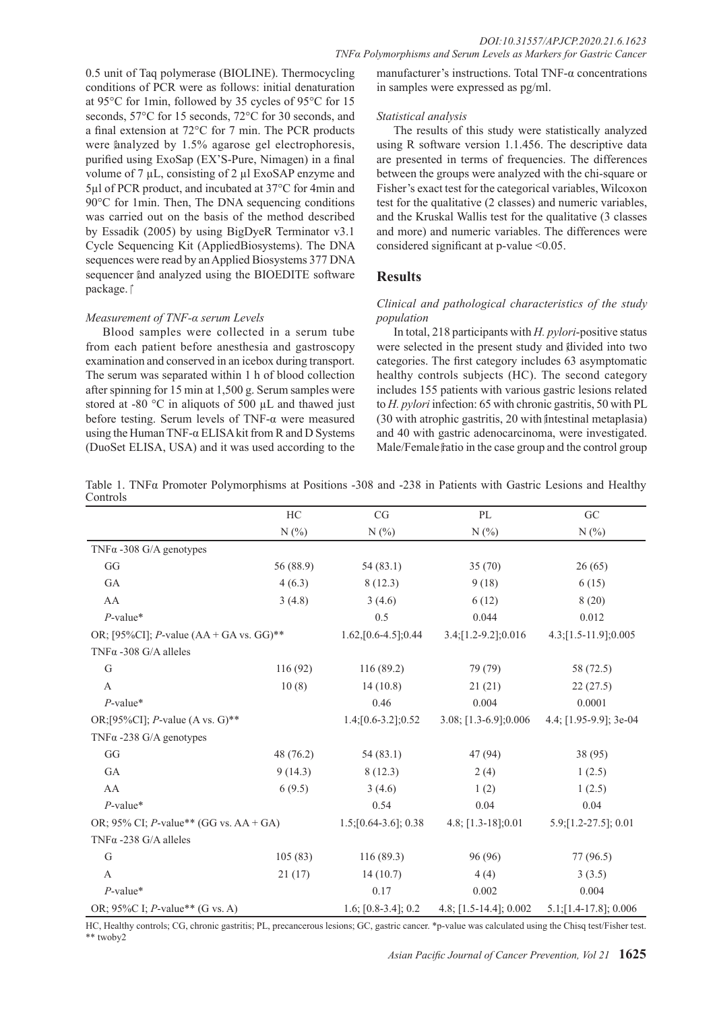0.5 unit of Taq polymerase (BIOLINE). Thermocycling conditions of PCR were as follows: initial denaturation at 95°C for 1min, followed by 35 cycles of 95°C for 15 seconds, 57°C for 15 seconds, 72°C for 30 seconds, and a final extension at 72°C for 7 min. The PCR products were analyzed by  $1.5\%$  agarose gel electrophoresis. purified using ExoSap (EX'S-Pure, Nimagen) in a final volume of 7  $\mu$ L, consisting of 2  $\mu$ l ExoSAP enzyme and 5µl of PCR product, and incubated at 37°C for 4min and 90°C for 1min. Then, The DNA sequencing conditions was carried out on the basis of the method described by Essadik (2005) by using BigDyeR Terminator v3.1 Cycle Sequencing Kit (AppliedBiosystems). The DNA sequences were read by an Applied Biosystems 377 DNA sequencer and analyzed using the BIOEDITE software package.<sup>†</sup>

#### *Measurement of TNF-α serum Levels*

Blood samples were collected in a serum tube from each patient before anesthesia and gastroscopy examination and conserved in an icebox during transport. The serum was separated within 1 h of blood collection after spinning for 15 min at 1,500 g. Serum samples were stored at -80  $\degree$ C in aliquots of 500  $\mu$ L and thawed just before testing. Serum levels of TNF-α were measured using the Human TNF- $\alpha$  ELISA kit from R and D Systems (DuoSet ELISA, USA) and it was used according to the

manufacturer's instructions. Total TNF-α concentrations in samples were expressed as pg/ml.

#### *Statistical analysis*

The results of this study were statistically analyzed using R software version 1.1.456. The descriptive data are presented in terms of frequencies. The differences between the groups were analyzed with the chi-square or Fisher's exact test for the categorical variables, Wilcoxon test for the qualitative (2 classes) and numeric variables, and the Kruskal Wallis test for the qualitative (3 classes and more) and numeric variables. The differences were considered significant at p-value <0.05.

## **Results**

## *Clinical and pathological characteristics of the study population*

In total, 218 participants with *H. pylori*-positive status were selected in the present study and divided into two categories. The first category includes 63 asymptomatic healthy controls subjects (HC). The second category includes 155 patients with various gastric lesions related to *H. pylori* infection: 65 with chronic gastritis, 50 with PL (30 with atrophic gastritis, 20 with intestinal metaplasia) and 40 with gastric adenocarcinoma, were investigated. Male/Female fratio in the case group and the control group

Table 1. TNFα Promoter Polymorphisms at Positions -308 and -238 in Patients with Gastric Lesions and Healthy **Controls** 

|                                                   | HC        | CG                          | PL                       | GC                        |  |
|---------------------------------------------------|-----------|-----------------------------|--------------------------|---------------------------|--|
|                                                   | N(%)      | N(%                         | N(%)                     | N(%                       |  |
| TNF $\alpha$ -308 G/A genotypes                   |           |                             |                          |                           |  |
| GG                                                | 56 (88.9) | 54(83.1)                    | 35(70)                   | 26(65)                    |  |
| GA                                                | 4(6.3)    | 8(12.3)                     | 9(18)                    | 6(15)                     |  |
| AA                                                | 3(4.8)    | 3(4.6)                      | 6(12)                    | 8(20)                     |  |
| $P$ -value*                                       |           | 0.5                         | 0.044                    | 0.012                     |  |
| OR; [95%CI]; <i>P</i> -value $(AA + GA vs. GG)**$ |           | $1.62$ , $[0.6-4.5]$ ; 0.44 | $3.4$ ; [1.2-9.2]; 0.016 | $4.3$ ; [1.5-11.9]; 0.005 |  |
| TNF $\alpha$ -308 G/A alleles                     |           |                             |                          |                           |  |
| G                                                 | 116(92)   | 116(89.2)                   | 79 (79)                  | 58 (72.5)                 |  |
| $\mathbf{A}$                                      | 10(8)     | 14(10.8)                    | 21(21)                   | 22(27.5)                  |  |
| $P$ -value*                                       |           | 0.46                        | 0.004                    | 0.0001                    |  |
| OR;[95%CI]; <i>P</i> -value (A vs. G)**           |           | $1.4$ ; [0.6-3.2]; 0.52     | $3.08$ ; [1.3-6.9];0.006 | 4.4; $[1.95-9.9]$ ; 3e-04 |  |
| TNF $\alpha$ -238 G/A genotypes                   |           |                             |                          |                           |  |
| GG                                                | 48 (76.2) | 54(83.1)                    | 47 (94)                  | 38 (95)                   |  |
| GA                                                | 9(14.3)   | 8(12.3)                     | 2(4)                     | 1(2.5)                    |  |
| AA                                                | 6(9.5)    | 3(4.6)                      | 1(2)                     | 1(2.5)                    |  |
| $P$ -value*                                       |           | 0.54                        | 0.04                     | 0.04                      |  |
| OR; 95% CI; <i>P</i> -value** (GG vs. $AA + GA$ ) |           | $1.5$ ; [0.64-3.6]; 0.38    | $4.8$ ; [1.3-18];0.01    | $5.9$ ; [1.2-27.5]; 0.01  |  |
| TNF $\alpha$ -238 G/A alleles                     |           |                             |                          |                           |  |
| G                                                 | 105(83)   | 116(89.3)                   | 96 (96)                  | 77 (96.5)                 |  |
| $\mathbf{A}$                                      | 21(17)    | 14(10.7)                    | 4(4)                     | 3(3.5)                    |  |
| $P$ -value*                                       |           | 0.17                        | 0.002                    | 0.004                     |  |
| OR; 95%C I; <i>P</i> -value** (G vs. A)           |           | 1.6; [0.8-3.4]; 0.2         | 4.8; [1.5-14.4]; 0.002   | $5.1$ ; [1.4-17.8]; 0.006 |  |

HC, Healthy controls; CG, chronic gastritis; PL, precancerous lesions; GC, gastric cancer. \*p-value was calculated using the Chisq test/Fisher test. \*\* twoby2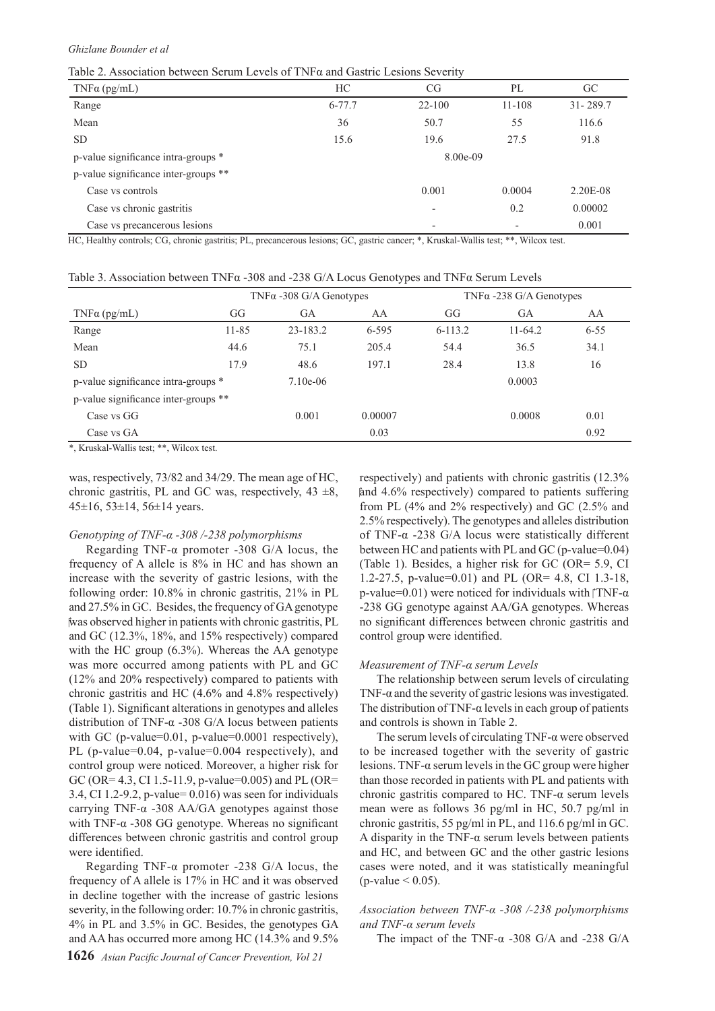Table 2. Association between Serum Levels of TNFα and Gastric Lesions Severity

| $TNF\alpha$ (pg/mL)                  | HC         | CG                       | PL                       | GC           |
|--------------------------------------|------------|--------------------------|--------------------------|--------------|
| Range                                | $6 - 77.7$ | $22 - 100$               | $11 - 108$               | $31 - 289.7$ |
| Mean                                 | 36         | 50.7                     | 55                       | 116.6        |
| <b>SD</b>                            | 15.6       | 19.6                     | 27.5                     | 91.8         |
| p-value significance intra-groups *  |            | 8.00e-09                 |                          |              |
| p-value significance inter-groups ** |            |                          |                          |              |
| Case vs controls                     |            | 0.001                    | 0.0004                   | 2.20E-08     |
| Case vs chronic gastritis            |            |                          | 0.2                      | 0.00002      |
| Case vs precancerous lesions         |            | $\overline{\phantom{a}}$ | $\overline{\phantom{0}}$ | 0.001        |

HC, Healthy controls; CG, chronic gastritis; PL, precancerous lesions; GC, gastric cancer; \*, Kruskal-Wallis test; \*\*, Wilcox test.

| Table 3. Association between $TNF\alpha -308$ and -238 G/A Locus Genotypes and $TNF\alpha$ Serum Levels |  |  |  |  |  |  |
|---------------------------------------------------------------------------------------------------------|--|--|--|--|--|--|
|---------------------------------------------------------------------------------------------------------|--|--|--|--|--|--|

|                                                                                                                                                                                                                                                                                                                                                                                                                                       | $TNF\alpha - 308$ G/A Genotypes |            |         | $TNF\alpha - 238$ G/A Genotypes |           |          |
|---------------------------------------------------------------------------------------------------------------------------------------------------------------------------------------------------------------------------------------------------------------------------------------------------------------------------------------------------------------------------------------------------------------------------------------|---------------------------------|------------|---------|---------------------------------|-----------|----------|
| $TNF\alpha$ (pg/mL)                                                                                                                                                                                                                                                                                                                                                                                                                   | GG                              | <b>GA</b>  | AA      | GG                              | GA        | AA       |
| Range                                                                                                                                                                                                                                                                                                                                                                                                                                 | $11 - 85$                       | 23-183.2   | 6-595   | $6 - 113.2$                     | $11-64.2$ | $6 - 55$ |
| Mean                                                                                                                                                                                                                                                                                                                                                                                                                                  | 44.6                            | 75.1       | 205.4   | 54.4                            | 36.5      | 34.1     |
| <b>SD</b>                                                                                                                                                                                                                                                                                                                                                                                                                             | 17.9                            | 48.6       | 197.1   | 28.4                            | 13.8      | 16       |
| p-value significance intra-groups *                                                                                                                                                                                                                                                                                                                                                                                                   |                                 | $7.10e-06$ |         |                                 | 0.0003    |          |
| p-value significance inter-groups **                                                                                                                                                                                                                                                                                                                                                                                                  |                                 |            |         |                                 |           |          |
| Case vs GG                                                                                                                                                                                                                                                                                                                                                                                                                            |                                 | 0.001      | 0.00007 |                                 | 0.0008    | 0.01     |
| Case vs GA<br>$\mathbf{d}_2 = \mathbf{Y} \mathbf{Z} = \mathbf{I} - \mathbf{I} - \mathbf{Y} \mathbf{X} \mathbf{Y} - \mathbf{I} \mathbf{I} \mathbf{Y} = \mathbf{I} - \mathbf{I} - \mathbf{I} \mathbf{X} \mathbf{X} \mathbf{Y} + \mathbf{I} \mathbf{I} \mathbf{Y} = \mathbf{I} - \mathbf{I} \mathbf{X} \mathbf{X} \mathbf{Y} + \mathbf{I} \mathbf{I} \mathbf{Y} + \mathbf{I} \mathbf{I} \mathbf{Y} + \mathbf{I} \mathbf{I} \mathbf{Y} +$ |                                 |            | 0.03    |                                 |           | 0.92     |

\*, Kruskal-Wallis test; \*\*, Wilcox test.

was, respectively, 73/82 and 34/29. The mean age of HC, chronic gastritis, PL and GC was, respectively,  $43 \pm 8$ , 45±16, 53±14, 56±14 years.

#### *Genotyping of TNF-α -308 /-238 polymorphisms*

Regarding TNF-α promoter -308 G/A locus, the frequency of A allele is 8% in HC and has shown an increase with the severity of gastric lesions, with the following order: 10.8% in chronic gastritis, 21% in PL and 27.5% in GC. Besides, the frequency of GA genotype was observed higher in patients with chronic gastritis, PL and GC (12.3%, 18%, and 15% respectively) compared with the HC group (6.3%). Whereas the AA genotype was more occurred among patients with PL and GC (12% and 20% respectively) compared to patients with chronic gastritis and HC (4.6% and 4.8% respectively) (Table 1). Significant alterations in genotypes and alleles distribution of TNF-α -308 G/A locus between patients with GC (p-value=0.01, p-value=0.0001 respectively), PL (p-value=0.04, p-value=0.004 respectively), and control group were noticed. Moreover, a higher risk for GC (OR= 4.3, CI 1.5-11.9, p-value=0.005) and PL (OR= 3.4, CI 1.2-9.2, p-value= 0.016) was seen for individuals carrying TNF- $\alpha$  -308 AA/GA genotypes against those with TNF- $\alpha$  -308 GG genotype. Whereas no significant differences between chronic gastritis and control group were identified.

Regarding TNF- $\alpha$  promoter -238 G/A locus, the frequency of A allele is 17% in HC and it was observed in decline together with the increase of gastric lesions severity, in the following order: 10.7% in chronic gastritis, 4% in PL and 3.5% in GC. Besides, the genotypes GA and AA has occurred more among HC (14.3% and 9.5%

respectively) and patients with chronic gastritis (12.3% and 4.6% respectively) compared to patients suffering from PL (4% and 2% respectively) and GC (2.5% and 2.5% respectively). The genotypes and alleles distribution of TNF-α -238 G/A locus were statistically different between HC and patients with PL and GC (p-value=0.04) (Table 1). Besides, a higher risk for GC (OR= 5.9, CI 1.2-27.5, p-value=0.01) and PL (OR= 4.8, CI 1.3-18, p-value=0.01) were noticed for individuals with  $\text{TNF-}\alpha$ -238 GG genotype against AA/GA genotypes. Whereas no significant differences between chronic gastritis and control group were identified.

#### *Measurement of TNF-α serum Levels*

The relationship between serum levels of circulating TNF- $\alpha$  and the severity of gastric lesions was investigated. The distribution of TNF- $\alpha$  levels in each group of patients and controls is shown in Table 2.

The serum levels of circulating TNF- $\alpha$  were observed to be increased together with the severity of gastric lesions. TNF-α serum levels in the GC group were higher than those recorded in patients with PL and patients with chronic gastritis compared to HC. TNF- $\alpha$  serum levels mean were as follows 36 pg/ml in HC, 50.7 pg/ml in chronic gastritis, 55 pg/ml in PL, and 116.6 pg/ml in GC. A disparity in the TNF- $\alpha$  serum levels between patients and HC, and between GC and the other gastric lesions cases were noted, and it was statistically meaningful  $(p$ -value  $< 0.05)$ .

#### *Association between TNF-α -308 /-238 polymorphisms and TNF-α serum levels*

The impact of the TNF- $\alpha$  -308 G/A and -238 G/A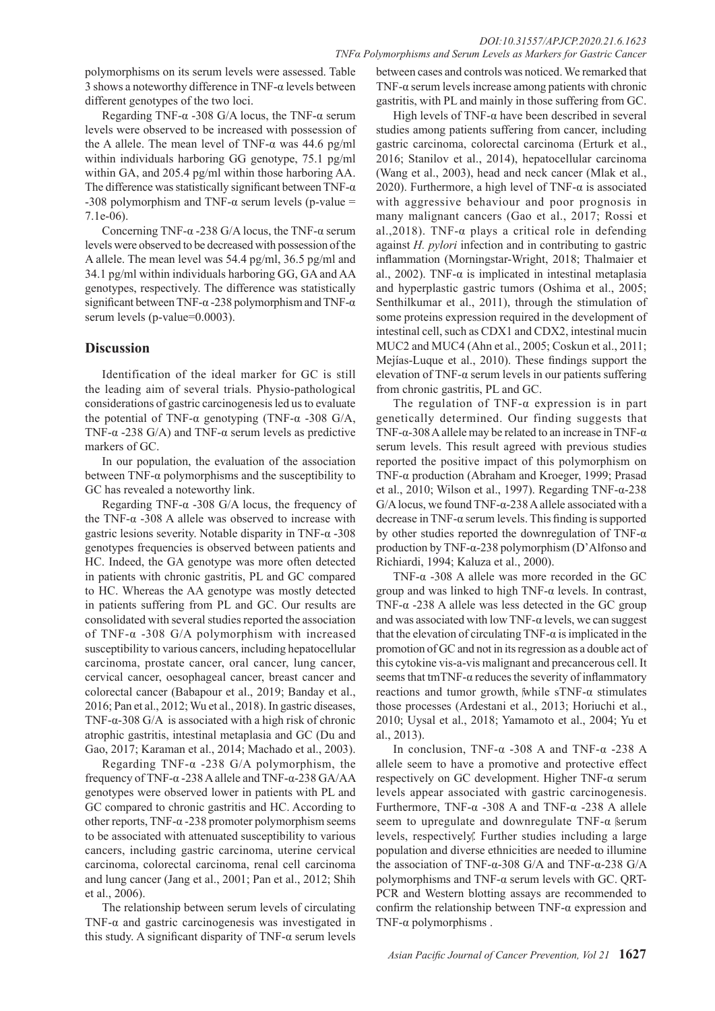polymorphisms on its serum levels were assessed. Table 3 shows a noteworthy difference in TNF- $\alpha$  levels between different genotypes of the two loci.

Regarding TNF- $\alpha$  -308 G/A locus, the TNF- $\alpha$  serum levels were observed to be increased with possession of the A allele. The mean level of TNF-α was 44.6 pg/ml within individuals harboring GG genotype, 75.1 pg/ml within GA, and 205.4 pg/ml within those harboring AA. The difference was statistically significant between TNF- $\alpha$ -308 polymorphism and TNF-α serum levels (p-value = 7.1e-06).

Concerning TNF-α -238 G/A locus, the TNF-α serum levels were observed to be decreased with possession of the A allele. The mean level was 54.4 pg/ml, 36.5 pg/ml and 34.1 pg/ml within individuals harboring GG, GA and AA genotypes, respectively. The difference was statistically significant between TNF-α -238 polymorphism and TNF-α serum levels (p-value=0.0003).

# **Discussion**

Identification of the ideal marker for GC is still the leading aim of several trials. Physio-pathological considerations of gastric carcinogenesis led us to evaluate the potential of TNF-α genotyping (TNF-α -308 G/A, TNF- $\alpha$  -238 G/A) and TNF- $\alpha$  serum levels as predictive markers of GC.

In our population, the evaluation of the association between  $TNF-\alpha$  polymorphisms and the susceptibility to GC has revealed a noteworthy link.

Regarding TNF- $\alpha$  -308 G/A locus, the frequency of the TNF- $α$  -308 A allele was observed to increase with gastric lesions severity. Notable disparity in TNF-α -308 genotypes frequencies is observed between patients and HC. Indeed, the GA genotype was more often detected in patients with chronic gastritis, PL and GC compared to HC. Whereas the AA genotype was mostly detected in patients suffering from PL and GC. Our results are consolidated with several studies reported the association of TNF-α -308 G/A polymorphism with increased susceptibility to various cancers, including hepatocellular carcinoma, prostate cancer, oral cancer, lung cancer, cervical cancer, oesophageal cancer, breast cancer and colorectal cancer (Babapour et al., 2019; Banday et al., 2016; Pan et al., 2012; Wu et al., 2018). In gastric diseases, TNF-α-308 G/A is associated with a high risk of chronic atrophic gastritis, intestinal metaplasia and GC (Du and Gao, 2017; Karaman et al., 2014; Machado et al., 2003).

Regarding TNF- $\alpha$  -238 G/A polymorphism, the frequency of TNF-α -238 A allele and TNF-α-238 GA/AA genotypes were observed lower in patients with PL and GC compared to chronic gastritis and HC. According to other reports, TNF-α -238 promoter polymorphism seems to be associated with attenuated susceptibility to various cancers, including gastric carcinoma, uterine cervical carcinoma, colorectal carcinoma, renal cell carcinoma and lung cancer (Jang et al., 2001; Pan et al., 2012; Shih et al., 2006).

The relationship between serum levels of circulating TNF- $\alpha$  and gastric carcinogenesis was investigated in this study. A significant disparity of TNF- $\alpha$  serum levels

between cases and controls was noticed. We remarked that TNF- $\alpha$  serum levels increase among patients with chronic gastritis, with PL and mainly in those suffering from GC.

High levels of TNF- $\alpha$  have been described in several studies among patients suffering from cancer, including gastric carcinoma, colorectal carcinoma (Erturk et al., 2016; Stanilov et al., 2014), hepatocellular carcinoma (Wang et al., 2003), head and neck cancer (Mlak et al., 2020). Furthermore, a high level of TNF- $\alpha$  is associated with aggressive behaviour and poor prognosis in many malignant cancers (Gao et al., 2017; Rossi et al., 2018). TNF- $\alpha$  plays a critical role in defending against *H. pylori* infection and in contributing to gastric inflammation (Morningstar-Wright, 2018; Thalmaier et al., 2002). TNF- $\alpha$  is implicated in intestinal metaplasia and hyperplastic gastric tumors (Oshima et al., 2005; Senthilkumar et al., 2011), through the stimulation of some proteins expression required in the development of intestinal cell, such as CDX1 and CDX2, intestinal mucin MUC2 and MUC4 (Ahn et al., 2005; Coskun et al., 2011; Mejías-Luque et al., 2010). These findings support the elevation of TNF-α serum levels in our patients suffering from chronic gastritis, PL and GC.

The regulation of TNF- $\alpha$  expression is in part genetically determined. Our finding suggests that TNF- $\alpha$ -308 A allele may be related to an increase in TNF- $\alpha$ serum levels. This result agreed with previous studies reported the positive impact of this polymorphism on TNF-α production (Abraham and Kroeger, 1999; Prasad et al., 2010; Wilson et al., 1997). Regarding TNF-α-238 G/A locus, we found TNF- $\alpha$ -238 A allele associated with a decrease in TNF-α serum levels. This finding is supported by other studies reported the downregulation of TNF- $\alpha$ production by TNF-α-238 polymorphism (D'Alfonso and Richiardi, 1994; Kaluza et al., 2000).

TNF-α -308 A allele was more recorded in the GC group and was linked to high  $TNF-\alpha$  levels. In contrast, TNF- $\alpha$  -238 A allele was less detected in the GC group and was associated with low TNF- $\alpha$  levels, we can suggest that the elevation of circulating TNF- $\alpha$  is implicated in the promotion of GC and not in its regression as a double act of this cytokine vis-a-vis malignant and precancerous cell. It seems that tmTNF-α reduces the severity of inflammatory reactions and tumor growth, while sTNF- $\alpha$  stimulates those processes (Ardestani et al., 2013; Horiuchi et al., 2010; Uysal et al., 2018; Yamamoto et al., 2004; Yu et al., 2013).

In conclusion, TNF- $\alpha$  -308 A and TNF- $\alpha$  -238 A allele seem to have a promotive and protective effect respectively on GC development. Higher TNF-α serum levels appear associated with gastric carcinogenesis. Furthermore, TNF-α -308 A and TNF-α -238 A allele seem to upregulate and downregulate  $TNF-\alpha$  serum levels, respectively. Further studies including a large population and diverse ethnicities are needed to illumine the association of TNF-α-308 G/A and TNF-α-238 G/A polymorphisms and TNF-α serum levels with GC. QRT-PCR and Western blotting assays are recommended to confirm the relationship between TNF-α expression and TNF- $\alpha$  polymorphisms.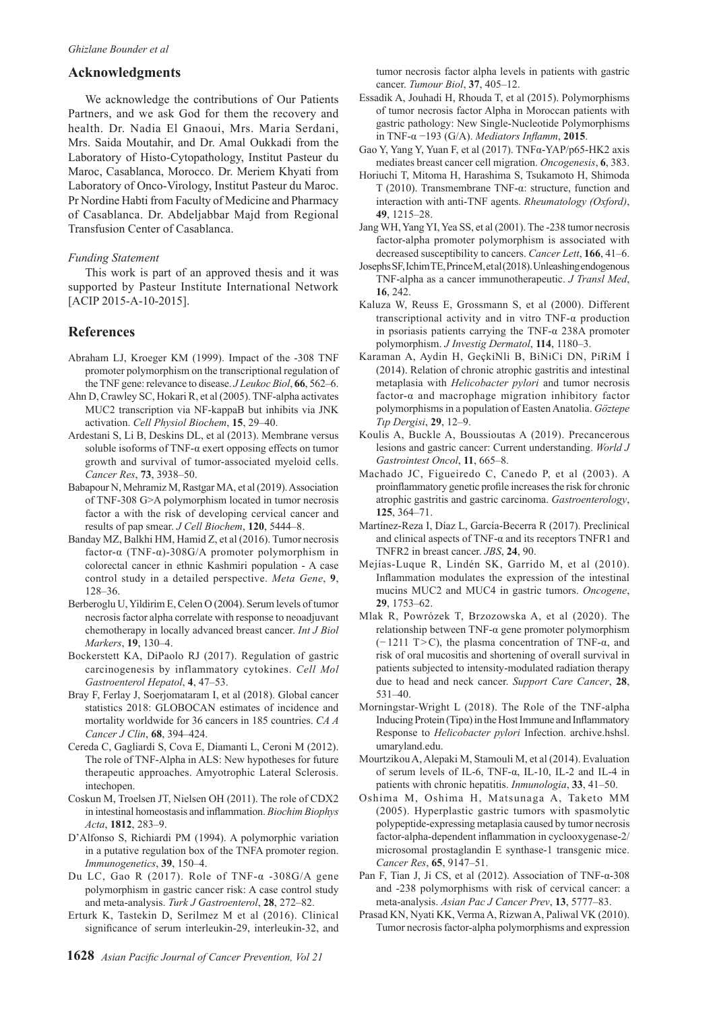## **Acknowledgments**

We acknowledge the contributions of Our Patients Partners, and we ask God for them the recovery and health. Dr. Nadia El Gnaoui, Mrs. Maria Serdani, Mrs. Saida Moutahir, and Dr. Amal Oukkadi from the Laboratory of Histo-Cytopathology, Institut Pasteur du Maroc, Casablanca, Morocco. Dr. Meriem Khyati from Laboratory of Onco-Virology, Institut Pasteur du Maroc. Pr Nordine Habti from Faculty of Medicine and Pharmacy of Casablanca. Dr. Abdeljabbar Majd from Regional Transfusion Center of Casablanca.

#### *Funding Statement*

This work is part of an approved thesis and it was supported by Pasteur Institute International Network [ACIP 2015-A-10-2015].

## **References**

- Abraham LJ, Kroeger KM (1999). Impact of the -308 TNF promoter polymorphism on the transcriptional regulation of the TNF gene: relevance to disease. *J Leukoc Biol*, **66**, 562–6.
- Ahn D, Crawley SC, Hokari R, et al (2005). TNF-alpha activates MUC2 transcription via NF-kappaB but inhibits via JNK activation. *Cell Physiol Biochem*, **15**, 29–40.
- Ardestani S, Li B, Deskins DL, et al (2013). Membrane versus soluble isoforms of TNF-α exert opposing effects on tumor growth and survival of tumor-associated myeloid cells. *Cancer Res*, **73**, 3938–50.
- Babapour N, Mehramiz M, Rastgar MA, et al (2019). Association of TNF-308 G>A polymorphism located in tumor necrosis factor a with the risk of developing cervical cancer and results of pap smear. *J Cell Biochem*, **120**, 5444–8.
- Banday MZ, Balkhi HM, Hamid Z, et al (2016). Tumor necrosis factor-α (TNF-α)-308G/A promoter polymorphism in colorectal cancer in ethnic Kashmiri population - A case control study in a detailed perspective. *Meta Gene*, **9**, 128–36.
- Berberoglu U, Yildirim E, Celen O (2004). Serum levels of tumor necrosis factor alpha correlate with response to neoadjuvant chemotherapy in locally advanced breast cancer. *Int J Biol Markers*, **19**, 130–4.
- Bockerstett KA, DiPaolo RJ (2017). Regulation of gastric carcinogenesis by inflammatory cytokines. *Cell Mol Gastroenterol Hepatol*, **4**, 47–53.
- Bray F, Ferlay J, Soerjomataram I, et al (2018). Global cancer statistics 2018: GLOBOCAN estimates of incidence and mortality worldwide for 36 cancers in 185 countries. *CA A Cancer J Clin*, **68**, 394–424.
- Cereda C, Gagliardi S, Cova E, Diamanti L, Ceroni M (2012). The role of TNF-Alpha in ALS: New hypotheses for future therapeutic approaches. Amyotrophic Lateral Sclerosis. *intechonen*
- Coskun M, Troelsen JT, Nielsen OH (2011). The role of CDX2 in intestinal homeostasis and inflammation. *Biochim Biophys Acta*, **1812**, 283–9.
- D'Alfonso S, Richiardi PM (1994). A polymorphic variation in a putative regulation box of the TNFA promoter region. *Immunogenetics*, **39**, 150–4.
- Du LC, Gao R (2017). Role of TNF- $\alpha$  -308G/A gene polymorphism in gastric cancer risk: A case control study and meta-analysis. *Turk J Gastroenterol*, **28**, 272–82.
- Erturk K, Tastekin D, Serilmez M et al (2016). Clinical significance of serum interleukin-29, interleukin-32, and

tumor necrosis factor alpha levels in patients with gastric cancer. *Tumour Biol*, **37**, 405–12.

- Essadik A, Jouhadi H, Rhouda T, et al (2015). Polymorphisms of tumor necrosis factor Alpha in Moroccan patients with gastric pathology: New Single-Nucleotide Polymorphisms in TNF-α −193 (G/A). *Mediators Inflamm*, **2015**.
- Gao Y, Yang Y, Yuan F, et al (2017). TNFα-YAP/p65-HK2 axis mediates breast cancer cell migration. *Oncogenesis*, **6**, 383.
- Horiuchi T, Mitoma H, Harashima S, Tsukamoto H, Shimoda T (2010). Transmembrane TNF-α: structure, function and interaction with anti-TNF agents. *Rheumatology (Oxford)*, **49**, 1215–28.
- Jang WH, Yang YI, Yea SS, et al (2001). The -238 tumor necrosis factor-alpha promoter polymorphism is associated with decreased susceptibility to cancers. *Cancer Lett*, **166**, 41–6.
- Josephs SF, Ichim TE, Prince M, et al (2018). Unleashing endogenous TNF-alpha as a cancer immunotherapeutic. *J Transl Med*, **16**, 242.
- Kaluza W, Reuss E, Grossmann S, et al (2000). Different transcriptional activity and in vitro TNF-α production in psoriasis patients carrying the TNF-α 238A promoter polymorphism. *J Investig Dermatol*, **114**, 1180–3.
- Karaman A, Aydin H, Geçki̇Nli̇ B, Bi̇Ni̇Ci̇ DN, Pi̇Ri̇M İ (2014). Relation of chronic atrophic gastritis and intestinal metaplasia with *Helicobacter pylori* and tumor necrosis factor-α and macrophage migration inhibitory factor polymorphisms in a population of Easten Anatolia. *Göztepe Tıp Dergisi*, **29**, 12–9.
- Koulis A, Buckle A, Boussioutas A (2019). Precancerous lesions and gastric cancer: Current understanding. *World J Gastrointest Oncol*, **11**, 665–8.
- Machado JC, Figueiredo C, Canedo P, et al (2003). A proinflammatory genetic profile increases the risk for chronic atrophic gastritis and gastric carcinoma. *Gastroenterology*, **125**, 364–71.
- Martínez-Reza I, Díaz L, García-Becerra R (2017). Preclinical and clinical aspects of TNF-α and its receptors TNFR1 and TNFR2 in breast cancer. *JBS*, **24**, 90.
- Mejías-Luque R, Lindén SK, Garrido M, et al (2010). Inflammation modulates the expression of the intestinal mucins MUC2 and MUC4 in gastric tumors. *Oncogene*, **29**, 1753–62.
- Mlak R, Powrózek T, Brzozowska A, et al (2020). The relationship between TNF-α gene promoter polymorphism (− 1211 T>C), the plasma concentration of TNF-α, and risk of oral mucositis and shortening of overall survival in patients subjected to intensity-modulated radiation therapy due to head and neck cancer. *Support Care Cancer*, **28**, 531–40.
- Morningstar-Wright L (2018). The Role of the TNF-alpha Inducing Protein (Tipα) in the Host Immune and Inflammatory Response to *Helicobacter pylori* Infection. archive.hshsl. umaryland.edu.
- Mourtzikou A, Alepaki M, Stamouli M, et al (2014). Evaluation of serum levels of IL-6, TNF-α, IL-10, IL-2 and IL-4 in patients with chronic hepatitis. *Inmunologia*, **33**, 41–50.
- Oshima M, Oshima H, Matsunaga A, Taketo MM (2005). Hyperplastic gastric tumors with spasmolytic polypeptide-expressing metaplasia caused by tumor necrosis factor-alpha-dependent inflammation in cyclooxygenase-2/ microsomal prostaglandin E synthase-1 transgenic mice. *Cancer Res*, **65**, 9147–51.
- Pan F, Tian J, Ji CS, et al (2012). Association of TNF-α-308 and -238 polymorphisms with risk of cervical cancer: a meta-analysis. *Asian Pac J Cancer Prev*, **13**, 5777–83.
- Prasad KN, Nyati KK, Verma A, Rizwan A, Paliwal VK (2010). Tumor necrosis factor-alpha polymorphisms and expression